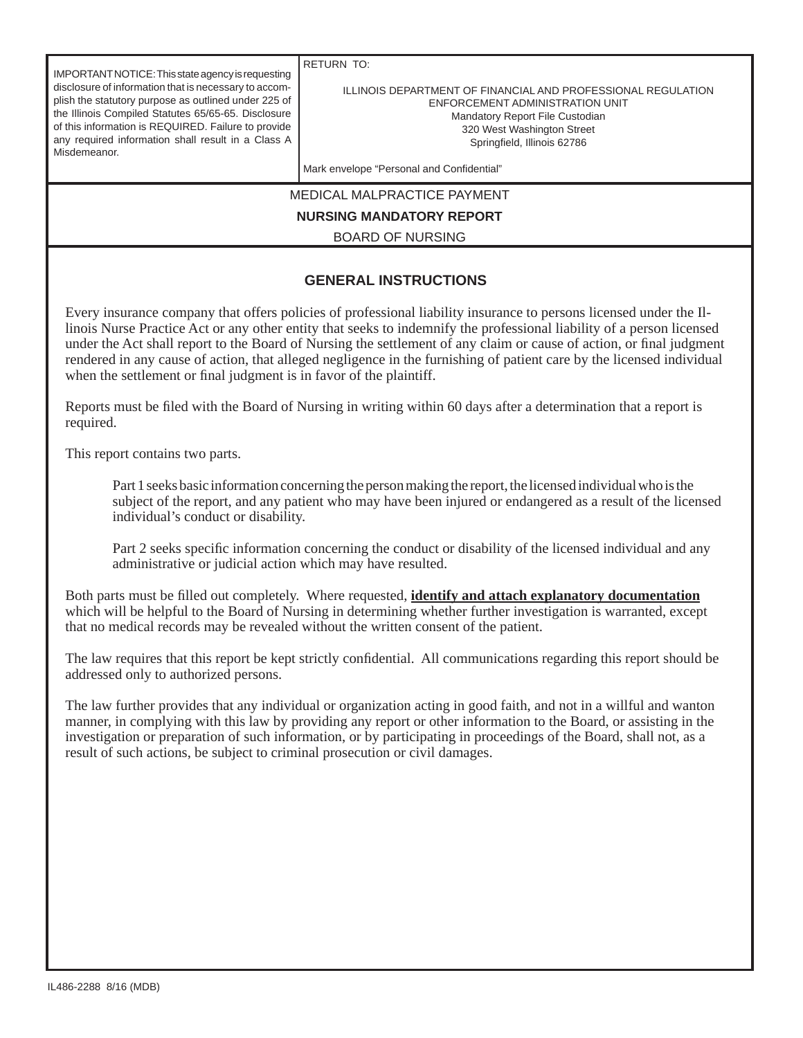| IMPORTANT NOTICE: This state agency is requesting<br>disclosure of information that is necessary to accom-<br>plish the statutory purpose as outlined under 225 of<br>the Illinois Compiled Statutes 65/65-65. Disclosure<br>of this information is REQUIRED. Failure to provide<br>any required information shall result in a Class A<br>Misdemeanor.                                                                                                                                                                                                              | <b>RETURN TO:</b><br>ILLINOIS DEPARTMENT OF FINANCIAL AND PROFESSIONAL REGULATION<br>ENFORCEMENT ADMINISTRATION UNIT<br>Mandatory Report File Custodian<br>320 West Washington Street<br>Springfield, Illinois 62786 |  |  |  |  |  |
|---------------------------------------------------------------------------------------------------------------------------------------------------------------------------------------------------------------------------------------------------------------------------------------------------------------------------------------------------------------------------------------------------------------------------------------------------------------------------------------------------------------------------------------------------------------------|----------------------------------------------------------------------------------------------------------------------------------------------------------------------------------------------------------------------|--|--|--|--|--|
|                                                                                                                                                                                                                                                                                                                                                                                                                                                                                                                                                                     | Mark envelope "Personal and Confidential"                                                                                                                                                                            |  |  |  |  |  |
| <b>MEDICAL MALPRACTICE PAYMENT</b>                                                                                                                                                                                                                                                                                                                                                                                                                                                                                                                                  |                                                                                                                                                                                                                      |  |  |  |  |  |
| <b>NURSING MANDATORY REPORT</b>                                                                                                                                                                                                                                                                                                                                                                                                                                                                                                                                     |                                                                                                                                                                                                                      |  |  |  |  |  |
| <b>BOARD OF NURSING</b>                                                                                                                                                                                                                                                                                                                                                                                                                                                                                                                                             |                                                                                                                                                                                                                      |  |  |  |  |  |
| <b>GENERAL INSTRUCTIONS</b>                                                                                                                                                                                                                                                                                                                                                                                                                                                                                                                                         |                                                                                                                                                                                                                      |  |  |  |  |  |
| Every insurance company that offers policies of professional liability insurance to persons licensed under the II-<br>linois Nurse Practice Act or any other entity that seeks to indemnify the professional liability of a person licensed<br>under the Act shall report to the Board of Nursing the settlement of any claim or cause of action, or final judgment<br>rendered in any cause of action, that alleged negligence in the furnishing of patient care by the licensed individual<br>when the settlement or final judgment is in favor of the plaintiff. |                                                                                                                                                                                                                      |  |  |  |  |  |

Reports must be filed with the Board of Nursing in writing within 60 days after a determination that a report is required.

This report contains two parts.

 Part 1 seeks basic information concerning the person making the report, the licensed individual who is the subject of the report, and any patient who may have been injured or endangered as a result of the licensed individual's conduct or disability.

Part 2 seeks specific information concerning the conduct or disability of the licensed individual and any administrative or judicial action which may have resulted.

Both parts must be filled out completely. Where requested, **identify and attach explanatory documentation** which will be helpful to the Board of Nursing in determining whether further investigation is warranted, except that no medical records may be revealed without the written consent of the patient.

The law requires that this report be kept strictly confidential. All communications regarding this report should be addressed only to authorized persons.

The law further provides that any individual or organization acting in good faith, and not in a willful and wanton manner, in complying with this law by providing any report or other information to the Board, or assisting in the investigation or preparation of such information, or by participating in proceedings of the Board, shall not, as a result of such actions, be subject to criminal prosecution or civil damages.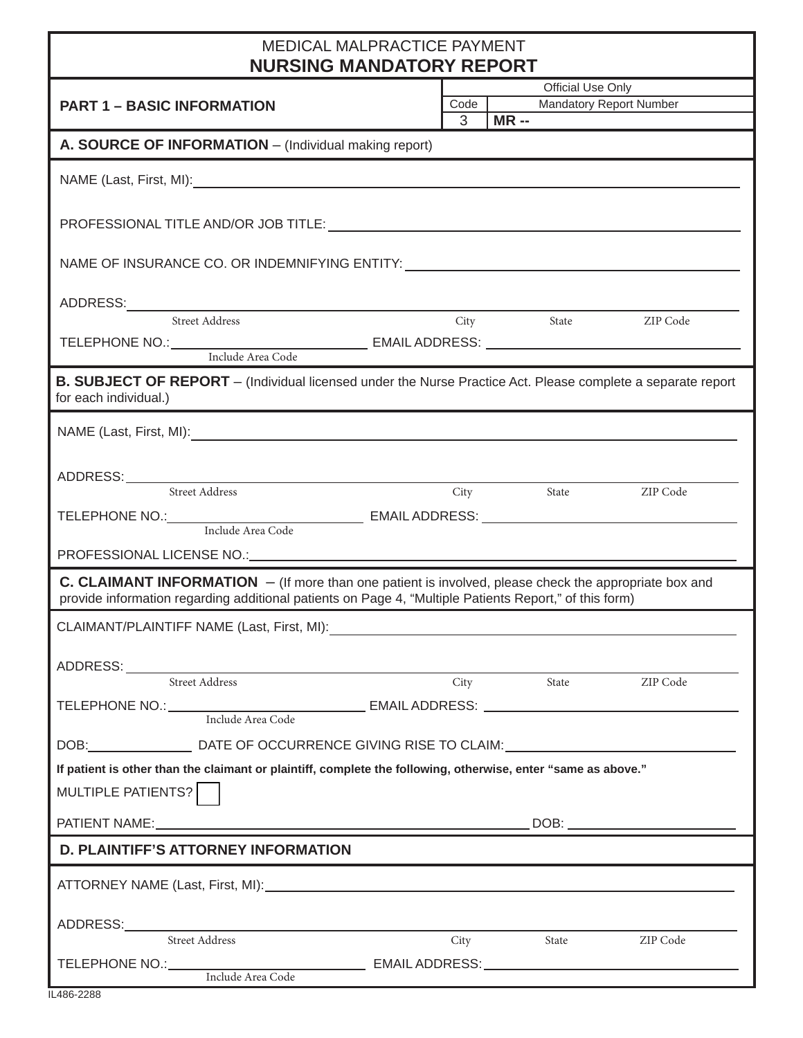## MEDICAL MALPRACTICE PAYMENT

| <b>NURSING MANDATORY REPORT</b>                                                                                                                                                                                          |                   |        |       |                                                                                                                                                                                                                                                                                                                                                                                                                                                                 |  |  |  |  |
|--------------------------------------------------------------------------------------------------------------------------------------------------------------------------------------------------------------------------|-------------------|--------|-------|-----------------------------------------------------------------------------------------------------------------------------------------------------------------------------------------------------------------------------------------------------------------------------------------------------------------------------------------------------------------------------------------------------------------------------------------------------------------|--|--|--|--|
|                                                                                                                                                                                                                          | Official Use Only |        |       |                                                                                                                                                                                                                                                                                                                                                                                                                                                                 |  |  |  |  |
| <b>PART 1 - BASIC INFORMATION</b>                                                                                                                                                                                        |                   | Code   |       | Mandatory Report Number                                                                                                                                                                                                                                                                                                                                                                                                                                         |  |  |  |  |
|                                                                                                                                                                                                                          | 3                 | $MR -$ |       |                                                                                                                                                                                                                                                                                                                                                                                                                                                                 |  |  |  |  |
| A. SOURCE OF INFORMATION - (Individual making report)                                                                                                                                                                    |                   |        |       |                                                                                                                                                                                                                                                                                                                                                                                                                                                                 |  |  |  |  |
|                                                                                                                                                                                                                          |                   |        |       |                                                                                                                                                                                                                                                                                                                                                                                                                                                                 |  |  |  |  |
|                                                                                                                                                                                                                          |                   |        |       |                                                                                                                                                                                                                                                                                                                                                                                                                                                                 |  |  |  |  |
| NAME OF INSURANCE CO. OR INDEMNIFYING ENTITY: University of the UNITY:                                                                                                                                                   |                   |        |       |                                                                                                                                                                                                                                                                                                                                                                                                                                                                 |  |  |  |  |
|                                                                                                                                                                                                                          |                   |        |       |                                                                                                                                                                                                                                                                                                                                                                                                                                                                 |  |  |  |  |
|                                                                                                                                                                                                                          |                   | City   | State | ZIP Code                                                                                                                                                                                                                                                                                                                                                                                                                                                        |  |  |  |  |
|                                                                                                                                                                                                                          |                   |        |       |                                                                                                                                                                                                                                                                                                                                                                                                                                                                 |  |  |  |  |
|                                                                                                                                                                                                                          |                   |        |       |                                                                                                                                                                                                                                                                                                                                                                                                                                                                 |  |  |  |  |
| <b>B. SUBJECT OF REPORT</b> – (Individual licensed under the Nurse Practice Act. Please complete a separate report<br>for each individual.)                                                                              |                   |        |       |                                                                                                                                                                                                                                                                                                                                                                                                                                                                 |  |  |  |  |
|                                                                                                                                                                                                                          |                   |        |       |                                                                                                                                                                                                                                                                                                                                                                                                                                                                 |  |  |  |  |
|                                                                                                                                                                                                                          |                   |        |       |                                                                                                                                                                                                                                                                                                                                                                                                                                                                 |  |  |  |  |
| ADDRESS: Street Address City State ZIP Code                                                                                                                                                                              |                   |        |       |                                                                                                                                                                                                                                                                                                                                                                                                                                                                 |  |  |  |  |
|                                                                                                                                                                                                                          |                   |        |       |                                                                                                                                                                                                                                                                                                                                                                                                                                                                 |  |  |  |  |
|                                                                                                                                                                                                                          |                   |        |       |                                                                                                                                                                                                                                                                                                                                                                                                                                                                 |  |  |  |  |
|                                                                                                                                                                                                                          |                   |        |       |                                                                                                                                                                                                                                                                                                                                                                                                                                                                 |  |  |  |  |
|                                                                                                                                                                                                                          |                   |        |       |                                                                                                                                                                                                                                                                                                                                                                                                                                                                 |  |  |  |  |
| <b>C. CLAIMANT INFORMATION</b> $-$ (If more than one patient is involved, please check the appropriate box and<br>provide information regarding additional patients on Page 4, "Multiple Patients Report," of this form) |                   |        |       |                                                                                                                                                                                                                                                                                                                                                                                                                                                                 |  |  |  |  |
| CLAIMANT/PLAINTIFF NAME (Last, First, MI):                                                                                                                                                                               |                   |        |       |                                                                                                                                                                                                                                                                                                                                                                                                                                                                 |  |  |  |  |
|                                                                                                                                                                                                                          |                   |        |       |                                                                                                                                                                                                                                                                                                                                                                                                                                                                 |  |  |  |  |
| ADDRESS: ADDRESS:                                                                                                                                                                                                        |                   |        |       |                                                                                                                                                                                                                                                                                                                                                                                                                                                                 |  |  |  |  |
| <b>Street Address</b>                                                                                                                                                                                                    | City              |        | State | ZIP Code                                                                                                                                                                                                                                                                                                                                                                                                                                                        |  |  |  |  |
|                                                                                                                                                                                                                          |                   |        |       |                                                                                                                                                                                                                                                                                                                                                                                                                                                                 |  |  |  |  |
| DOB: Letter Connect DATE OF OCCURRENCE GIVING RISE TO CLAIM: Letter Letter Letter Letter Letter Letter Letter                                                                                                            |                   |        |       |                                                                                                                                                                                                                                                                                                                                                                                                                                                                 |  |  |  |  |
| If patient is other than the claimant or plaintiff, complete the following, otherwise, enter "same as above."                                                                                                            |                   |        |       |                                                                                                                                                                                                                                                                                                                                                                                                                                                                 |  |  |  |  |
|                                                                                                                                                                                                                          |                   |        |       |                                                                                                                                                                                                                                                                                                                                                                                                                                                                 |  |  |  |  |
| MULTIPLE PATIENTS?                                                                                                                                                                                                       |                   |        |       |                                                                                                                                                                                                                                                                                                                                                                                                                                                                 |  |  |  |  |
|                                                                                                                                                                                                                          |                   |        |       | $\begin{tabular}{ c c c c } \hline \multicolumn{3}{ c }{\text{DOB:}} \quad \quad & \multicolumn{3}{ c }{\text{O}} \\ \hline \multicolumn{3}{ c }{\text{DOB:}} \quad \quad & \multicolumn{3}{ c }{\text{O}} \\ \hline \multicolumn{3}{ c }{\text{O}} \\ \hline \multicolumn{3}{ c }{\text{O}} \\ \hline \multicolumn{3}{ c }{\text{O}} \\ \hline \multicolumn{3}{ c }{\text{O}} \\ \hline \multicolumn{3}{ c }{\text{O}} \\ \hline \multicolumn{3}{ c }{\text{O$ |  |  |  |  |
| <b>D. PLAINTIFF'S ATTORNEY INFORMATION</b>                                                                                                                                                                               |                   |        |       |                                                                                                                                                                                                                                                                                                                                                                                                                                                                 |  |  |  |  |
|                                                                                                                                                                                                                          |                   |        |       |                                                                                                                                                                                                                                                                                                                                                                                                                                                                 |  |  |  |  |
|                                                                                                                                                                                                                          |                   |        |       |                                                                                                                                                                                                                                                                                                                                                                                                                                                                 |  |  |  |  |
| Street Address                                                                                                                                                                                                           |                   | City   | State | ZIP Code                                                                                                                                                                                                                                                                                                                                                                                                                                                        |  |  |  |  |
|                                                                                                                                                                                                                          |                   |        |       |                                                                                                                                                                                                                                                                                                                                                                                                                                                                 |  |  |  |  |
| Include Area Code                                                                                                                                                                                                        |                   |        |       |                                                                                                                                                                                                                                                                                                                                                                                                                                                                 |  |  |  |  |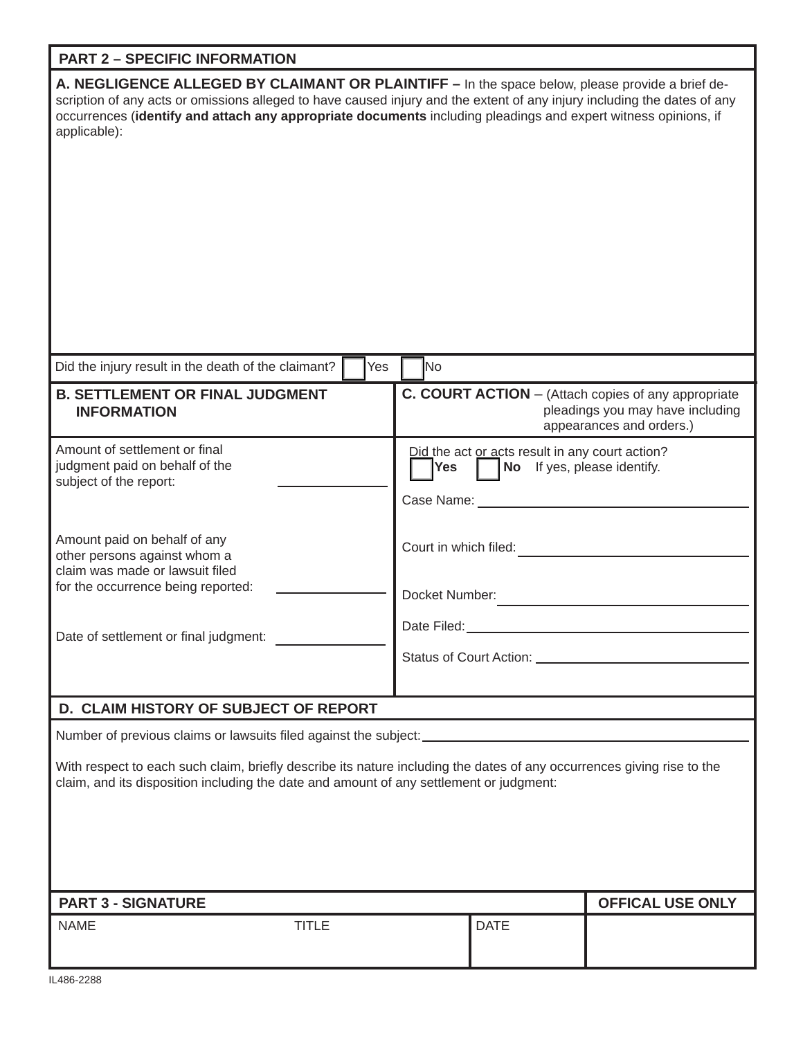## **PART 2 – SPECIFIC INFORMATION**

| A. NEGLIGENCE ALLEGED BY CLAIMANT OR PLAINTIFF - In the space below, please provide a brief de-<br>scription of any acts or omissions alleged to have caused injury and the extent of any injury including the dates of any<br>occurrences (identify and attach any appropriate documents including pleadings and expert witness opinions, if<br>applicable): |                                                                                                                            |  |  |  |  |  |  |  |
|---------------------------------------------------------------------------------------------------------------------------------------------------------------------------------------------------------------------------------------------------------------------------------------------------------------------------------------------------------------|----------------------------------------------------------------------------------------------------------------------------|--|--|--|--|--|--|--|
| Did the injury result in the death of the claimant?<br>Yes                                                                                                                                                                                                                                                                                                    | No                                                                                                                         |  |  |  |  |  |  |  |
| <b>B. SETTLEMENT OR FINAL JUDGMENT</b><br><b>INFORMATION</b>                                                                                                                                                                                                                                                                                                  | <b>C. COURT ACTION</b> – (Attach copies of any appropriate<br>pleadings you may have including<br>appearances and orders.) |  |  |  |  |  |  |  |
| Amount of settlement or final<br>judgment paid on behalf of the<br>subject of the report:                                                                                                                                                                                                                                                                     | Did the act or acts result in any court action?<br>No If yes, please identify.<br><b>Yes</b><br>Case Name:                 |  |  |  |  |  |  |  |
| Amount paid on behalf of any<br>other persons against whom a<br>claim was made or lawsuit filed<br>for the occurrence being reported:                                                                                                                                                                                                                         | Court in which filed:<br>Docket Number:                                                                                    |  |  |  |  |  |  |  |
| Date of settlement or final judgment:                                                                                                                                                                                                                                                                                                                         | Date Filed:<br>Status of Court Action: _                                                                                   |  |  |  |  |  |  |  |
| D. CLAIM HISTORY OF SUBJECT OF REPORT                                                                                                                                                                                                                                                                                                                         |                                                                                                                            |  |  |  |  |  |  |  |
| Number of previous claims or lawsuits filed against the subject: ________________<br>With respect to each such claim, briefly describe its nature including the dates of any occurrences giving rise to the<br>claim, and its disposition including the date and amount of any settlement or judgment:                                                        |                                                                                                                            |  |  |  |  |  |  |  |
| <b>PART 3 - SIGNATURE</b>                                                                                                                                                                                                                                                                                                                                     | <b>OFFICAL USE ONLY</b>                                                                                                    |  |  |  |  |  |  |  |
| <b>TITLE</b><br><b>NAME</b>                                                                                                                                                                                                                                                                                                                                   | <b>DATE</b>                                                                                                                |  |  |  |  |  |  |  |